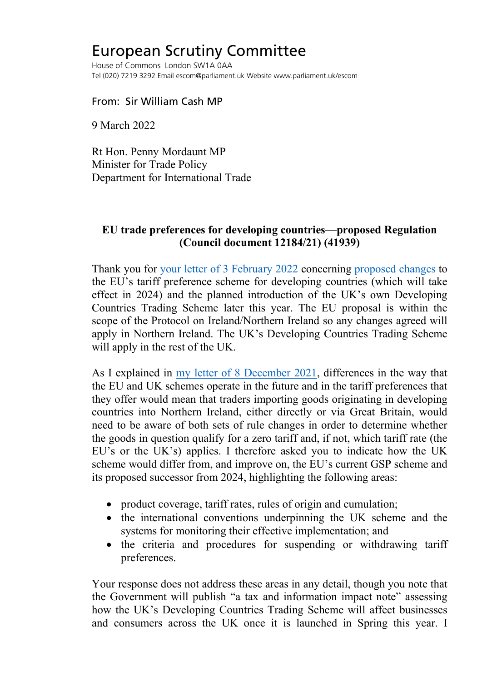## European Scrutiny Committee

House of Commons London SW1A 0AA Tel (020) 7219 3292 Email escom@parliament.uk Website www.parliament.uk/escom

From: Sir William Cash MP

9 March 2022

Rt Hon. Penny Mordaunt MP Minister for Trade Policy Department for International Trade

## **EU trade preferences for developing countries—proposed Regulation (Council document 12184/21) (41939)**

Thank you for [your letter of 3 February 2022](https://europeanmemoranda.cabinetoffice.gov.uk/files/2022/02/00423_Sir_William_Cash_MP.pdf) concerning [proposed changes](http://europeanmemoranda.cabinetoffice.gov.uk/files/2021/11/ST_12184_2021_INIT_en.pdf) to the EU's tariff preference scheme for developing countries (which will take effect in 2024) and the planned introduction of the UK's own Developing Countries Trading Scheme later this year. The EU proposal is within the scope of the Protocol on Ireland/Northern Ireland so any changes agreed will apply in Northern Ireland. The UK's Developing Countries Trading Scheme will apply in the rest of the UK.

As I explained in [my letter of 8 December 2021,](https://committees.parliament.uk/publications/8193/documents/83767/default/) differences in the way that the EU and UK schemes operate in the future and in the tariff preferences that they offer would mean that traders importing goods originating in developing countries into Northern Ireland, either directly or via Great Britain, would need to be aware of both sets of rule changes in order to determine whether the goods in question qualify for a zero tariff and, if not, which tariff rate (the EU's or the UK's) applies. I therefore asked you to indicate how the UK scheme would differ from, and improve on, the EU's current GSP scheme and its proposed successor from 2024, highlighting the following areas:

- product coverage, tariff rates, rules of origin and cumulation;
- the international conventions underpinning the UK scheme and the systems for monitoring their effective implementation; and
- the criteria and procedures for suspending or withdrawing tariff preferences.

Your response does not address these areas in any detail, though you note that the Government will publish "a tax and information impact note" assessing how the UK's Developing Countries Trading Scheme will affect businesses and consumers across the UK once it is launched in Spring this year. I